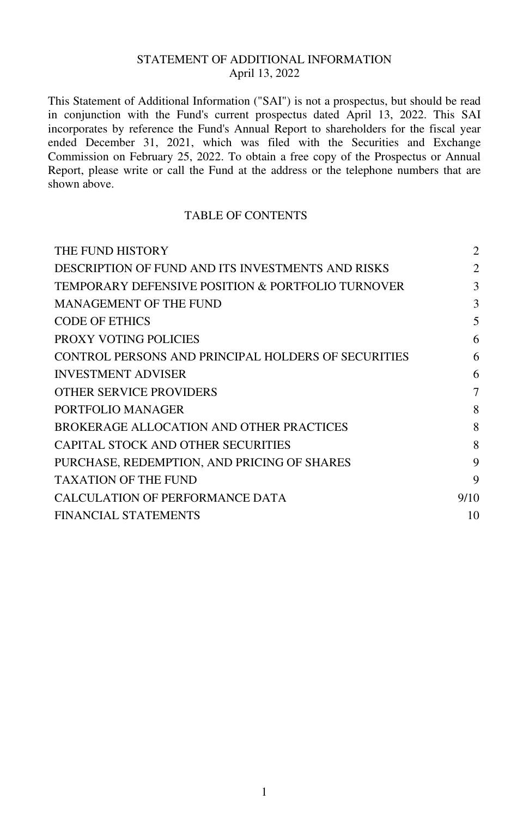# STATEMENT OF ADDITIONAL INFORMATION April 13, 2022

This Statement of Additional Information ("SAI") is not a prospectus, but should be read in conjunction with the Fund's current prospectus dated April 13, 2022. This SAI incorporates by reference the Fund's Annual Report to shareholders for the fiscal year ended December 31, 2021, which was filed with the Securities and Exchange Commission on February 25, 2022. To obtain a free copy of the Prospectus or Annual Report, please write or call the Fund at the address or the telephone numbers that are shown above.

# TABLE OF CONTENTS

| 2    |
|------|
| 2    |
| 3    |
| 3    |
| 5    |
| 6    |
| 6    |
| 6    |
| 7    |
| 8    |
| 8    |
| 8    |
| 9    |
| 9    |
| 9/10 |
| 10   |
|      |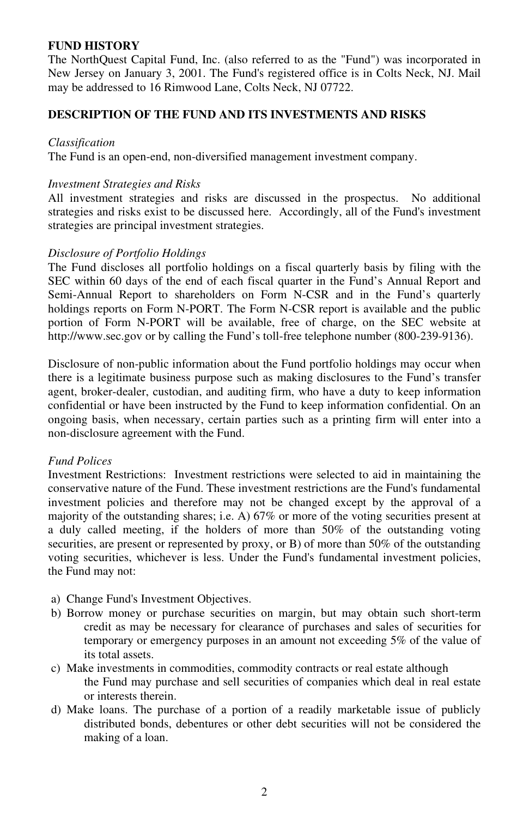# **FUND HISTORY**

The NorthQuest Capital Fund, Inc. (also referred to as the "Fund") was incorporated in New Jersey on January 3, 2001. The Fund's registered office is in Colts Neck, NJ. Mail may be addressed to 16 Rimwood Lane, Colts Neck, NJ 07722.

# **DESCRIPTION OF THE FUND AND ITS INVESTMENTS AND RISKS**

#### *Classification*

The Fund is an open-end, non-diversified management investment company.

#### *Investment Strategies and Risks*

All investment strategies and risks are discussed in the prospectus. No additional strategies and risks exist to be discussed here. Accordingly, all of the Fund's investment strategies are principal investment strategies.

### *Disclosure of Portfolio Holdings*

The Fund discloses all portfolio holdings on a fiscal quarterly basis by filing with the SEC within 60 days of the end of each fiscal quarter in the Fund's Annual Report and Semi-Annual Report to shareholders on Form N-CSR and in the Fund's quarterly holdings reports on Form N-PORT. The Form N-CSR report is available and the public portion of Form N-PORT will be available, free of charge, on the SEC website at http://www.sec.gov or by calling the Fund's toll-free telephone number (800-239-9136).

Disclosure of non-public information about the Fund portfolio holdings may occur when there is a legitimate business purpose such as making disclosures to the Fund's transfer agent, broker-dealer, custodian, and auditing firm, who have a duty to keep information confidential or have been instructed by the Fund to keep information confidential. On an ongoing basis, when necessary, certain parties such as a printing firm will enter into a non-disclosure agreement with the Fund.

### *Fund Polices*

Investment Restrictions: Investment restrictions were selected to aid in maintaining the conservative nature of the Fund. These investment restrictions are the Fund's fundamental investment policies and therefore may not be changed except by the approval of a majority of the outstanding shares; i.e. A) 67% or more of the voting securities present at a duly called meeting, if the holders of more than 50% of the outstanding voting securities, are present or represented by proxy, or B) of more than 50% of the outstanding voting securities, whichever is less. Under the Fund's fundamental investment policies, the Fund may not:

- a) Change Fund's Investment Objectives.
- b) Borrow money or purchase securities on margin, but may obtain such short-term credit as may be necessary for clearance of purchases and sales of securities for temporary or emergency purposes in an amount not exceeding 5% of the value of its total assets.
- c) Make investments in commodities, commodity contracts or real estate although the Fund may purchase and sell securities of companies which deal in real estate or interests therein.
- d) Make loans. The purchase of a portion of a readily marketable issue of publicly distributed bonds, debentures or other debt securities will not be considered the making of a loan.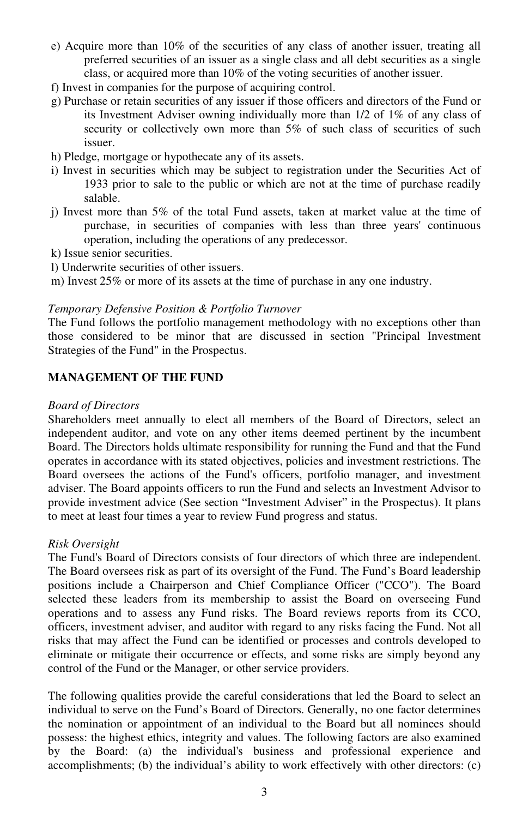- e) Acquire more than 10% of the securities of any class of another issuer, treating all preferred securities of an issuer as a single class and all debt securities as a single class, or acquired more than 10% of the voting securities of another issuer.
- f) Invest in companies for the purpose of acquiring control.
- g) Purchase or retain securities of any issuer if those officers and directors of the Fund or its Investment Adviser owning individually more than 1/2 of 1% of any class of security or collectively own more than 5% of such class of securities of such issuer.
- h) Pledge, mortgage or hypothecate any of its assets.
- i) Invest in securities which may be subject to registration under the Securities Act of 1933 prior to sale to the public or which are not at the time of purchase readily salable.
- j) Invest more than 5% of the total Fund assets, taken at market value at the time of purchase, in securities of companies with less than three years' continuous operation, including the operations of any predecessor.
- k) Issue senior securities.
- l) Underwrite securities of other issuers.
- m) Invest 25% or more of its assets at the time of purchase in any one industry.

### *Temporary Defensive Position & Portfolio Turnover*

The Fund follows the portfolio management methodology with no exceptions other than those considered to be minor that are discussed in section "Principal Investment Strategies of the Fund" in the Prospectus.

# **MANAGEMENT OF THE FUND**

#### *Board of Directors*

Shareholders meet annually to elect all members of the Board of Directors, select an independent auditor, and vote on any other items deemed pertinent by the incumbent Board. The Directors holds ultimate responsibility for running the Fund and that the Fund operates in accordance with its stated objectives, policies and investment restrictions. The Board oversees the actions of the Fund's officers, portfolio manager, and investment adviser. The Board appoints officers to run the Fund and selects an Investment Advisor to provide investment advice (See section "Investment Adviser" in the Prospectus). It plans to meet at least four times a year to review Fund progress and status.

### *Risk Oversight*

The Fund's Board of Directors consists of four directors of which three are independent. The Board oversees risk as part of its oversight of the Fund. The Fund's Board leadership positions include a Chairperson and Chief Compliance Officer ("CCO"). The Board selected these leaders from its membership to assist the Board on overseeing Fund operations and to assess any Fund risks. The Board reviews reports from its CCO, officers, investment adviser, and auditor with regard to any risks facing the Fund. Not all risks that may affect the Fund can be identified or processes and controls developed to eliminate or mitigate their occurrence or effects, and some risks are simply beyond any control of the Fund or the Manager, or other service providers.

The following qualities provide the careful considerations that led the Board to select an individual to serve on the Fund's Board of Directors. Generally, no one factor determines the nomination or appointment of an individual to the Board but all nominees should possess: the highest ethics, integrity and values. The following factors are also examined by the Board: (a) the individual's business and professional experience and accomplishments; (b) the individual's ability to work effectively with other directors: (c)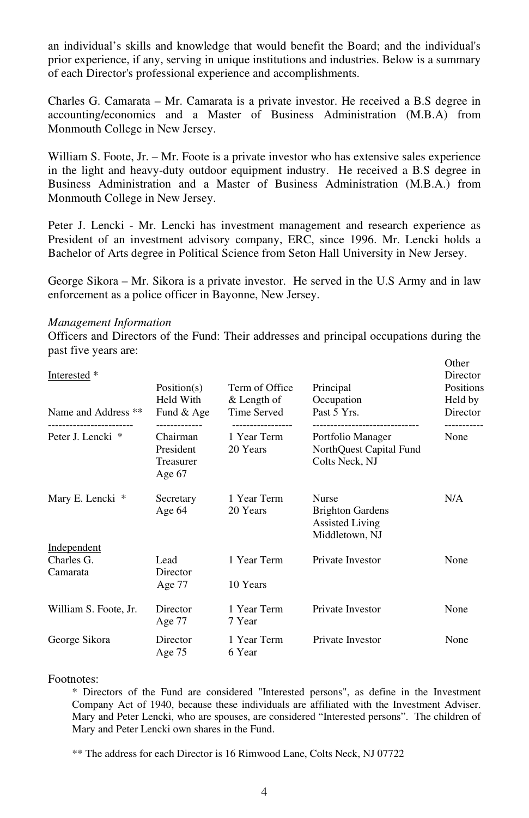an individual's skills and knowledge that would benefit the Board; and the individual's prior experience, if any, serving in unique institutions and industries. Below is a summary of each Director's professional experience and accomplishments.

Charles G. Camarata – Mr. Camarata is a private investor. He received a B.S degree in accounting/economics and a Master of Business Administration (M.B.A) from Monmouth College in New Jersey.

William S. Foote, Jr. – Mr. Foote is a private investor who has extensive sales experience in the light and heavy-duty outdoor equipment industry. He received a B.S degree in Business Administration and a Master of Business Administration (M.B.A.) from Monmouth College in New Jersey.

Peter J. Lencki - Mr. Lencki has investment management and research experience as President of an investment advisory company, ERC, since 1996. Mr. Lencki holds a Bachelor of Arts degree in Political Science from Seton Hall University in New Jersey.

George Sikora – Mr. Sikora is a private investor. He served in the U.S Army and in law enforcement as a police officer in Bayonne, New Jersey.

#### *Management Information*

Officers and Directors of the Fund: Their addresses and principal occupations during the past five years are:

| Interested *<br>Name and Address ** | Position(s)<br>Held With<br>Fund & Age                       | Term of Office<br>& Length of<br>Time Served | Principal<br>Occupation<br>Past 5 Yrs.                                                      | Other<br>Director<br>Positions<br>Held by<br>Director |
|-------------------------------------|--------------------------------------------------------------|----------------------------------------------|---------------------------------------------------------------------------------------------|-------------------------------------------------------|
| Peter J. Lencki *                   | ------------<br>Chairman<br>President<br>Treasurer<br>Age 67 | 1 Year Term<br>20 Years                      | -------------------------<br>Portfolio Manager<br>NorthQuest Capital Fund<br>Colts Neck, NJ | None                                                  |
| Mary E. Lencki *                    | Secretary<br>Age 64                                          | 1 Year Term<br>20 Years                      | Nurse<br><b>Brighton Gardens</b><br><b>Assisted Living</b><br>Middletown, NJ                | N/A                                                   |
| Independent                         |                                                              |                                              |                                                                                             |                                                       |
| Charles G.<br>Camarata              | Lead<br>Director                                             | 1 Year Term                                  | Private Investor                                                                            | None                                                  |
|                                     | Age $77$                                                     | 10 Years                                     |                                                                                             |                                                       |
| William S. Foote, Jr.               | Director<br>Age 77                                           | 1 Year Term<br>7 Year                        | Private Investor                                                                            | None                                                  |
| George Sikora                       | Director<br>Age $75$                                         | 1 Year Term<br>6 Year                        | Private Investor                                                                            | None                                                  |

#### Footnotes:

\* Directors of the Fund are considered "Interested persons", as define in the Investment Company Act of 1940, because these individuals are affiliated with the Investment Adviser. Mary and Peter Lencki, who are spouses, are considered "Interested persons". The children of Mary and Peter Lencki own shares in the Fund.

\*\* The address for each Director is 16 Rimwood Lane, Colts Neck, NJ 07722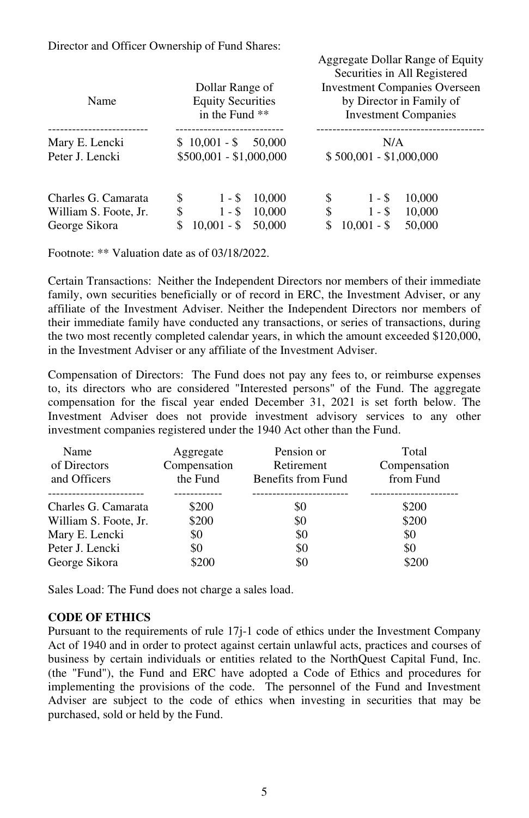Director and Officer Ownership of Fund Shares:

| Name                                                          | Dollar Range of<br><b>Equity Securities</b><br>in the Fund **                      | Aggregate Donal Kange of Equity<br>Securities in All Registered<br><b>Investment Companies Overseen</b><br>by Director in Family of<br><b>Investment Companies</b> |
|---------------------------------------------------------------|------------------------------------------------------------------------------------|--------------------------------------------------------------------------------------------------------------------------------------------------------------------|
| Mary E. Lencki<br>Peter J. Lencki                             | $$10,001 - $50,000$<br>$$500,001 - $1,000,000$                                     | N/A<br>\$500,001 - \$1,000,000                                                                                                                                     |
| Charles G. Camarata<br>William S. Foote, Jr.<br>George Sikora | \$<br>10,000<br>$1 - S$<br>\$<br>$1 - S$<br>10,000<br>$10,001 - $$<br>\$<br>50,000 | 10,000<br>\$<br>$1 - S$<br>\$<br>10,000<br>$1 - S$<br>\$<br>$10,001 - $$<br>50,000                                                                                 |

Aggregate Dollar Range of Equity

Footnote: \*\* Valuation date as of 03/18/2022.

Certain Transactions: Neither the Independent Directors nor members of their immediate family, own securities beneficially or of record in ERC, the Investment Adviser, or any affiliate of the Investment Adviser. Neither the Independent Directors nor members of their immediate family have conducted any transactions, or series of transactions, during the two most recently completed calendar years, in which the amount exceeded \$120,000, in the Investment Adviser or any affiliate of the Investment Adviser.

Compensation of Directors: The Fund does not pay any fees to, or reimburse expenses to, its directors who are considered "Interested persons" of the Fund. The aggregate compensation for the fiscal year ended December 31, 2021 is set forth below. The Investment Adviser does not provide investment advisory services to any other investment companies registered under the 1940 Act other than the Fund.

| Name<br>of Directors<br>and Officers | Aggregate<br>Compensation<br>the Fund | Pension or<br>Retirement<br>Benefits from Fund | Total<br>Compensation<br>from Fund |
|--------------------------------------|---------------------------------------|------------------------------------------------|------------------------------------|
| Charles G. Camarata                  | \$200                                 | \$0                                            | \$200                              |
| William S. Foote, Jr.                | \$200                                 | \$0                                            | \$200                              |
| Mary E. Lencki                       | \$0                                   | \$0                                            | \$0                                |
| Peter J. Lencki                      | \$0                                   | \$0                                            | \$0                                |
| George Sikora                        | \$200                                 | \$0                                            | \$200                              |

Sales Load: The Fund does not charge a sales load.

### **CODE OF ETHICS**

Pursuant to the requirements of rule 17j-1 code of ethics under the Investment Company Act of 1940 and in order to protect against certain unlawful acts, practices and courses of business by certain individuals or entities related to the NorthQuest Capital Fund, Inc. (the "Fund"), the Fund and ERC have adopted a Code of Ethics and procedures for implementing the provisions of the code. The personnel of the Fund and Investment Adviser are subject to the code of ethics when investing in securities that may be purchased, sold or held by the Fund.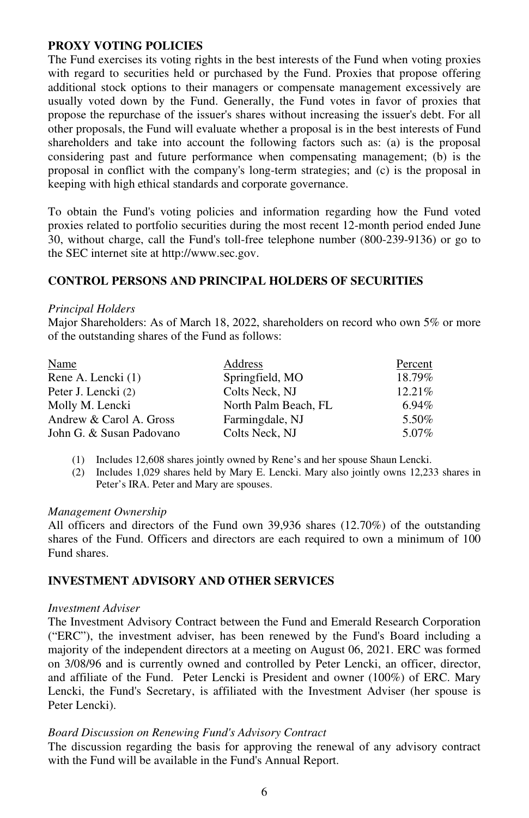# **PROXY VOTING POLICIES**

The Fund exercises its voting rights in the best interests of the Fund when voting proxies with regard to securities held or purchased by the Fund. Proxies that propose offering additional stock options to their managers or compensate management excessively are usually voted down by the Fund. Generally, the Fund votes in favor of proxies that propose the repurchase of the issuer's shares without increasing the issuer's debt. For all other proposals, the Fund will evaluate whether a proposal is in the best interests of Fund shareholders and take into account the following factors such as: (a) is the proposal considering past and future performance when compensating management; (b) is the proposal in conflict with the company's long-term strategies; and (c) is the proposal in keeping with high ethical standards and corporate governance.

To obtain the Fund's voting policies and information regarding how the Fund voted proxies related to portfolio securities during the most recent 12-month period ended June 30, without charge, call the Fund's toll-free telephone number (800-239-9136) or go to the SEC internet site at http://www.sec.gov.

# **CONTROL PERSONS AND PRINCIPAL HOLDERS OF SECURITIES**

### *Principal Holders*

Major Shareholders: As of March 18, 2022, shareholders on record who own 5% or more of the outstanding shares of the Fund as follows:

| Name                     | Address              | Percent |
|--------------------------|----------------------|---------|
| Rene A. Lencki (1)       | Springfield, MO      | 18.79%  |
| Peter J. Lencki (2)      | Colts Neck, NJ       | 12.21%  |
| Molly M. Lencki          | North Palm Beach, FL | 6.94%   |
| Andrew & Carol A. Gross  | Farmingdale, NJ      | 5.50%   |
| John G. & Susan Padovano | Colts Neck, NJ       | 5.07%   |

(1) Includes 12,608 shares jointly owned by Rene's and her spouse Shaun Lencki.

(2) Includes 1,029 shares held by Mary E. Lencki. Mary also jointly owns 12,233 shares in Peter's IRA. Peter and Mary are spouses.

#### *Management Ownership*

All officers and directors of the Fund own 39,936 shares (12.70%) of the outstanding shares of the Fund. Officers and directors are each required to own a minimum of 100 Fund shares.

# **INVESTMENT ADVISORY AND OTHER SERVICES**

#### *Investment Adviser*

The Investment Advisory Contract between the Fund and Emerald Research Corporation ("ERC"), the investment adviser, has been renewed by the Fund's Board including a majority of the independent directors at a meeting on August 06, 2021. ERC was formed on 3/08/96 and is currently owned and controlled by Peter Lencki, an officer, director, and affiliate of the Fund. Peter Lencki is President and owner (100%) of ERC. Mary Lencki, the Fund's Secretary, is affiliated with the Investment Adviser (her spouse is Peter Lencki).

### *Board Discussion on Renewing Fund's Advisory Contract*

The discussion regarding the basis for approving the renewal of any advisory contract with the Fund will be available in the Fund's Annual Report.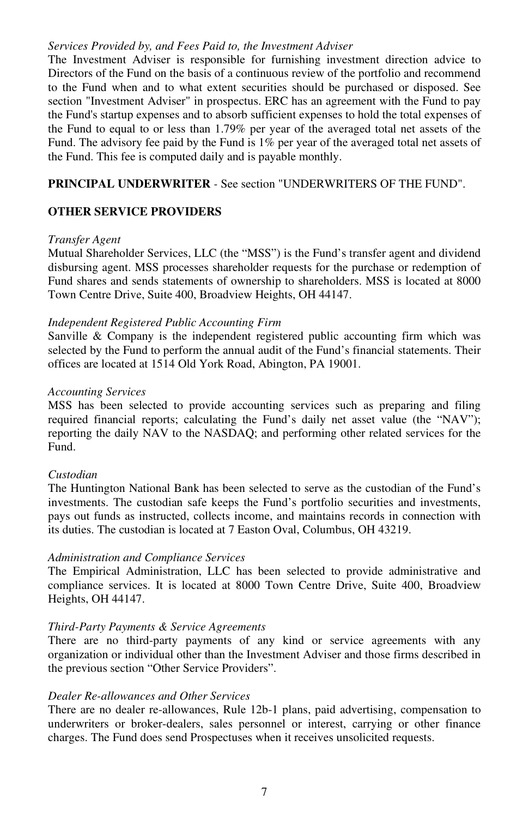#### *Services Provided by, and Fees Paid to, the Investment Adviser*

The Investment Adviser is responsible for furnishing investment direction advice to Directors of the Fund on the basis of a continuous review of the portfolio and recommend to the Fund when and to what extent securities should be purchased or disposed. See section "Investment Adviser" in prospectus. ERC has an agreement with the Fund to pay the Fund's startup expenses and to absorb sufficient expenses to hold the total expenses of the Fund to equal to or less than 1.79% per year of the averaged total net assets of the Fund. The advisory fee paid by the Fund is 1% per year of the averaged total net assets of the Fund. This fee is computed daily and is payable monthly.

# **PRINCIPAL UNDERWRITER** *-* See section "UNDERWRITERS OF THE FUND".

# **OTHER SERVICE PROVIDERS**

#### *Transfer Agent*

Mutual Shareholder Services, LLC (the "MSS") is the Fund's transfer agent and dividend disbursing agent. MSS processes shareholder requests for the purchase or redemption of Fund shares and sends statements of ownership to shareholders. MSS is located at 8000 Town Centre Drive, Suite 400, Broadview Heights, OH 44147.

# *Independent Registered Public Accounting Firm*

Sanville & Company is the independent registered public accounting firm which was selected by the Fund to perform the annual audit of the Fund's financial statements. Their offices are located at 1514 Old York Road, Abington, PA 19001.

#### *Accounting Services*

MSS has been selected to provide accounting services such as preparing and filing required financial reports; calculating the Fund's daily net asset value (the "NAV"); reporting the daily NAV to the NASDAQ; and performing other related services for the Fund.

### *Custodian*

The Huntington National Bank has been selected to serve as the custodian of the Fund's investments. The custodian safe keeps the Fund's portfolio securities and investments, pays out funds as instructed, collects income, and maintains records in connection with its duties. The custodian is located at 7 Easton Oval, Columbus, OH 43219.

### *Administration and Compliance Services*

The Empirical Administration, LLC has been selected to provide administrative and compliance services. It is located at 8000 Town Centre Drive, Suite 400, Broadview Heights, OH 44147.

### *Third-Party Payments & Service Agreements*

There are no third-party payments of any kind or service agreements with any organization or individual other than the Investment Adviser and those firms described in the previous section "Other Service Providers".

# *Dealer Re-allowances and Other Services*

There are no dealer re-allowances, Rule 12b-1 plans, paid advertising, compensation to underwriters or broker-dealers, sales personnel or interest, carrying or other finance charges. The Fund does send Prospectuses when it receives unsolicited requests.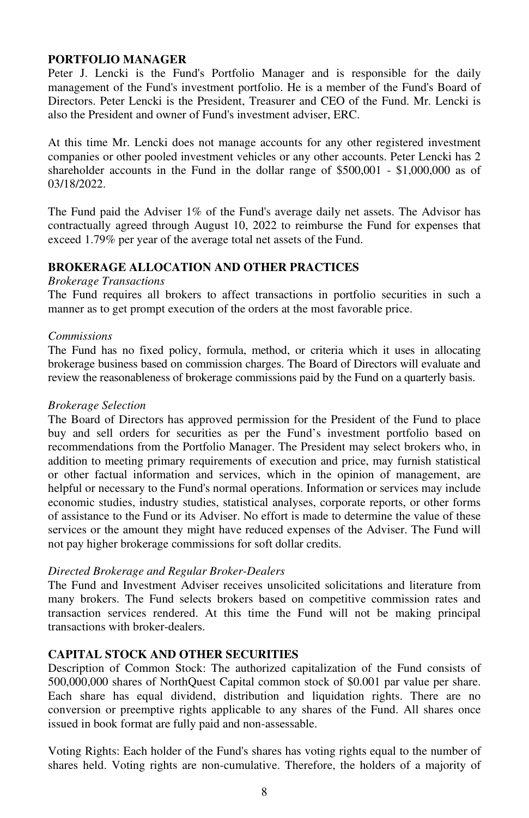# **PORTFOLIO MANAGER**

Peter J. Lencki is the Fund's Portfolio Manager and is responsible for the daily management of the Fund's investment portfolio. He is a member of the Fund's Board of Directors. Peter Lencki is the President, Treasurer and CEO of the Fund. Mr. Lencki is also the President and owner of Fund's investment adviser, ERC.

At this time Mr. Lencki does not manage accounts for any other registered investment companies or other pooled investment vehicles or any other accounts. Peter Lencki has 2 shareholder accounts in the Fund in the dollar range of \$500,001 - \$1,000,000 as of 03/18/2022.

The Fund paid the Adviser 1% of the Fund's average daily net assets. The Advisor has contractually agreed through August 10, 2022 to reimburse the Fund for expenses that exceed 1.79% per year of the average total net assets of the Fund.

# **BROKERAGE ALLOCATION AND OTHER PRACTICES**

#### *Brokerage Transactions*

The Fund requires all brokers to affect transactions in portfolio securities in such a manner as to get prompt execution of the orders at the most favorable price.

### *Commissions*

The Fund has no fixed policy, formula, method, or criteria which it uses in allocating brokerage business based on commission charges. The Board of Directors will evaluate and review the reasonableness of brokerage commissions paid by the Fund on a quarterly basis.

### *Brokerage Selection*

The Board of Directors has approved permission for the President of the Fund to place buy and sell orders for securities as per the Fund's investment portfolio based on recommendations from the Portfolio Manager. The President may select brokers who, in addition to meeting primary requirements of execution and price, may furnish statistical or other factual information and services, which in the opinion of management, are helpful or necessary to the Fund's normal operations. Information or services may include economic studies, industry studies, statistical analyses, corporate reports, or other forms of assistance to the Fund or its Adviser. No effort is made to determine the value of these services or the amount they might have reduced expenses of the Adviser. The Fund will not pay higher brokerage commissions for soft dollar credits.

### *Directed Brokerage and Regular Broker-Dealers*

The Fund and Investment Adviser receives unsolicited solicitations and literature from many brokers. The Fund selects brokers based on competitive commission rates and transaction services rendered. At this time the Fund will not be making principal transactions with broker-dealers.

# **CAPITAL STOCK AND OTHER SECURITIES**

Description of Common Stock: The authorized capitalization of the Fund consists of 500,000,000 shares of NorthQuest Capital common stock of \$0.001 par value per share. Each share has equal dividend, distribution and liquidation rights. There are no conversion or preemptive rights applicable to any shares of the Fund. All shares once issued in book format are fully paid and non-assessable.

Voting Rights: Each holder of the Fund's shares has voting rights equal to the number of shares held. Voting rights are non-cumulative. Therefore, the holders of a majority of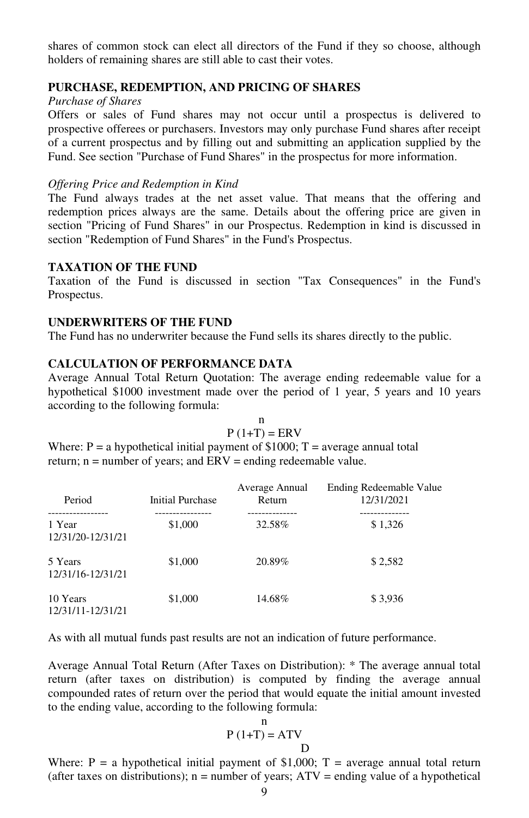shares of common stock can elect all directors of the Fund if they so choose, although holders of remaining shares are still able to cast their votes.

#### **PURCHASE, REDEMPTION, AND PRICING OF SHARES**

# *Purchase of Shares*

Offers or sales of Fund shares may not occur until a prospectus is delivered to prospective offerees or purchasers. Investors may only purchase Fund shares after receipt of a current prospectus and by filling out and submitting an application supplied by the Fund. See section "Purchase of Fund Shares" in the prospectus for more information.

# *Offering Price and Redemption in Kind*

The Fund always trades at the net asset value. That means that the offering and redemption prices always are the same. Details about the offering price are given in section "Pricing of Fund Shares" in our Prospectus. Redemption in kind is discussed in section "Redemption of Fund Shares" in the Fund's Prospectus.

# **TAXATION OF THE FUND**

Taxation of the Fund is discussed in section "Tax Consequences" in the Fund's Prospectus.

# **UNDERWRITERS OF THE FUND**

The Fund has no underwriter because the Fund sells its shares directly to the public.

# **CALCULATION OF PERFORMANCE DATA**

Average Annual Total Return Quotation: The average ending redeemable value for a hypothetical \$1000 investment made over the period of 1 year, 5 years and 10 years according to the following formula:

|                                                                                                                                                          | $P(1+T) = ERV$ |                         |
|----------------------------------------------------------------------------------------------------------------------------------------------------------|----------------|-------------------------|
| Where: $P = a$ hypothetical initial payment of \$1000; $T =$ average annual total<br>return; $n =$ number of years; and $ERV =$ ending redeemable value. |                |                         |
|                                                                                                                                                          | Average Annual | Ending Redeemable Value |

| Period                        | <b>Initial Purchase</b> | Average Annual<br>Return | Ending Redeemable Value<br>12/31/2021 |
|-------------------------------|-------------------------|--------------------------|---------------------------------------|
| 1 Year<br>12/31/20-12/31/21   | \$1,000                 | 32.58%                   | \$1,326                               |
| 5 Years<br>12/31/16-12/31/21  | \$1,000                 | 20.89%                   | \$2,582                               |
| 10 Years<br>12/31/11-12/31/21 | \$1,000                 | 14.68%                   | \$3,936                               |

As with all mutual funds past results are not an indication of future performance.

Average Annual Total Return (After Taxes on Distribution): \* The average annual total return (after taxes on distribution) is computed by finding the average annual compounded rates of return over the period that would equate the initial amount invested to the ending value, according to the following formula:

$$
P(1+T) = ATV
$$
  
D

Where:  $P = a$  hypothetical initial payment of \$1,000;  $T =$  average annual total return (after taxes on distributions);  $n =$  number of years;  $ATV =$  ending value of a hypothetical